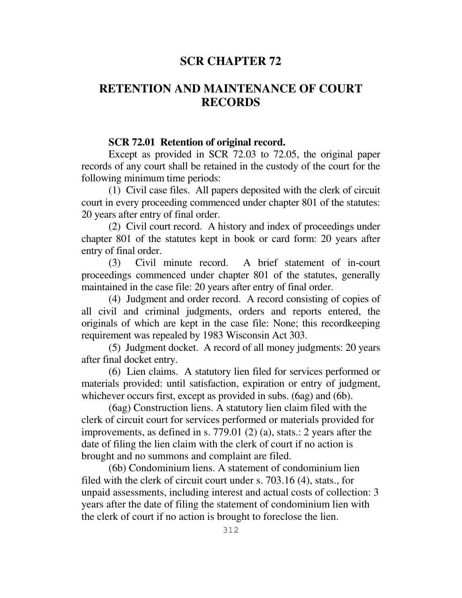## **SCR CHAPTER 72**

# **RETENTION AND MAINTENANCE OF COURT RECORDS**

#### **SCR 72.01 Retention of original record.**

 Except as provided in SCR 72.03 to 72.05, the original paper records of any court shall be retained in the custody of the court for the following minimum time periods:

 (1) Civil case files. All papers deposited with the clerk of circuit court in every proceeding commenced under chapter 801 of the statutes: 20 years after entry of final order.

 (2) Civil court record. A history and index of proceedings under chapter 801 of the statutes kept in book or card form: 20 years after entry of final order.

 (3) Civil minute record. A brief statement of in-court proceedings commenced under chapter 801 of the statutes, generally maintained in the case file: 20 years after entry of final order.

 (4) Judgment and order record. A record consisting of copies of all civil and criminal judgments, orders and reports entered, the originals of which are kept in the case file: None; this recordkeeping requirement was repealed by 1983 Wisconsin Act 303.

 (5) Judgment docket. A record of all money judgments: 20 years after final docket entry.

 (6) Lien claims. A statutory lien filed for services performed or materials provided: until satisfaction, expiration or entry of judgment, whichever occurs first, except as provided in subs. (6ag) and (6b).

 (6ag) Construction liens. A statutory lien claim filed with the clerk of circuit court for services performed or materials provided for improvements, as defined in s. 779.01 (2) (a), stats.: 2 years after the date of filing the lien claim with the clerk of court if no action is brought and no summons and complaint are filed.

 (6b) Condominium liens. A statement of condominium lien filed with the clerk of circuit court under s. 703.16 (4), stats., for unpaid assessments, including interest and actual costs of collection: 3 years after the date of filing the statement of condominium lien with the clerk of court if no action is brought to foreclose the lien.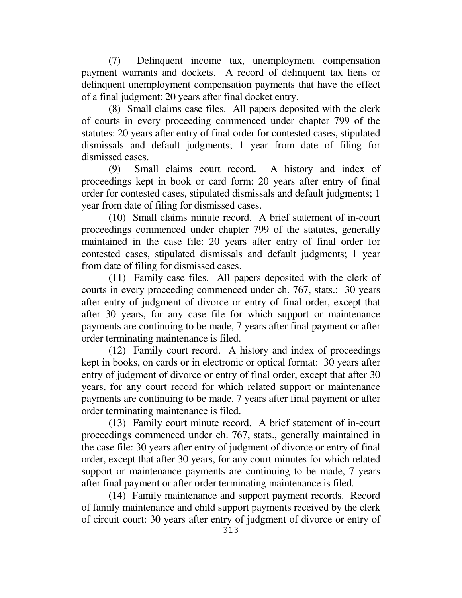(7) Delinquent income tax, unemployment compensation payment warrants and dockets. A record of delinquent tax liens or delinquent unemployment compensation payments that have the effect of a final judgment: 20 years after final docket entry.

 (8) Small claims case files. All papers deposited with the clerk of courts in every proceeding commenced under chapter 799 of the statutes: 20 years after entry of final order for contested cases, stipulated dismissals and default judgments; 1 year from date of filing for dismissed cases.

 (9) Small claims court record. A history and index of proceedings kept in book or card form: 20 years after entry of final order for contested cases, stipulated dismissals and default judgments; 1 year from date of filing for dismissed cases.

 (10) Small claims minute record. A brief statement of in-court proceedings commenced under chapter 799 of the statutes, generally maintained in the case file: 20 years after entry of final order for contested cases, stipulated dismissals and default judgments; 1 year from date of filing for dismissed cases.

 (11) Family case files. All papers deposited with the clerk of courts in every proceeding commenced under ch. 767, stats.: 30 years after entry of judgment of divorce or entry of final order, except that after 30 years, for any case file for which support or maintenance payments are continuing to be made, 7 years after final payment or after order terminating maintenance is filed.

 (12) Family court record. A history and index of proceedings kept in books, on cards or in electronic or optical format: 30 years after entry of judgment of divorce or entry of final order, except that after 30 years, for any court record for which related support or maintenance payments are continuing to be made, 7 years after final payment or after order terminating maintenance is filed.

 (13) Family court minute record. A brief statement of in-court proceedings commenced under ch. 767, stats., generally maintained in the case file: 30 years after entry of judgment of divorce or entry of final order, except that after 30 years, for any court minutes for which related support or maintenance payments are continuing to be made, 7 years after final payment or after order terminating maintenance is filed.

 (14) Family maintenance and support payment records. Record of family maintenance and child support payments received by the clerk of circuit court: 30 years after entry of judgment of divorce or entry of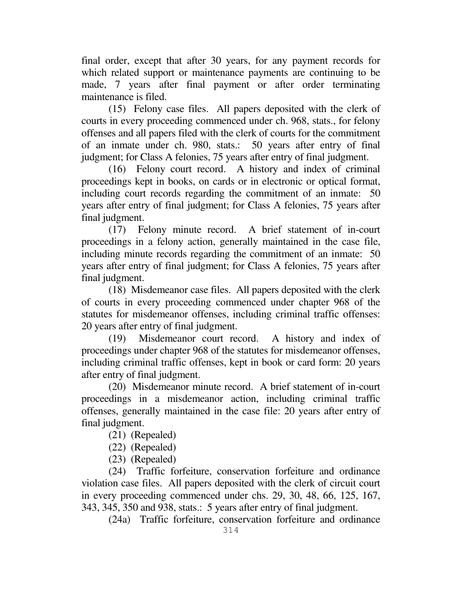final order, except that after 30 years, for any payment records for which related support or maintenance payments are continuing to be made, 7 years after final payment or after order terminating maintenance is filed.

 (15) Felony case files. All papers deposited with the clerk of courts in every proceeding commenced under ch. 968, stats., for felony offenses and all papers filed with the clerk of courts for the commitment of an inmate under ch. 980, stats.: 50 years after entry of final judgment; for Class A felonies, 75 years after entry of final judgment.

 (16) Felony court record. A history and index of criminal proceedings kept in books, on cards or in electronic or optical format, including court records regarding the commitment of an inmate: 50 years after entry of final judgment; for Class A felonies, 75 years after final judgment.

 (17) Felony minute record. A brief statement of in-court proceedings in a felony action, generally maintained in the case file, including minute records regarding the commitment of an inmate: 50 years after entry of final judgment; for Class A felonies, 75 years after final judgment.

 (18) Misdemeanor case files. All papers deposited with the clerk of courts in every proceeding commenced under chapter 968 of the statutes for misdemeanor offenses, including criminal traffic offenses: 20 years after entry of final judgment.

 (19) Misdemeanor court record. A history and index of proceedings under chapter 968 of the statutes for misdemeanor offenses, including criminal traffic offenses, kept in book or card form: 20 years after entry of final judgment.

 (20) Misdemeanor minute record. A brief statement of in-court proceedings in a misdemeanor action, including criminal traffic offenses, generally maintained in the case file: 20 years after entry of final judgment.

- (21) (Repealed)
- (22) (Repealed)
- (23) (Repealed)

 (24) Traffic forfeiture, conservation forfeiture and ordinance violation case files. All papers deposited with the clerk of circuit court in every proceeding commenced under chs. 29, 30, 48, 66, 125, 167, 343, 345, 350 and 938, stats.: 5 years after entry of final judgment.

(24a) Traffic forfeiture, conservation forfeiture and ordinance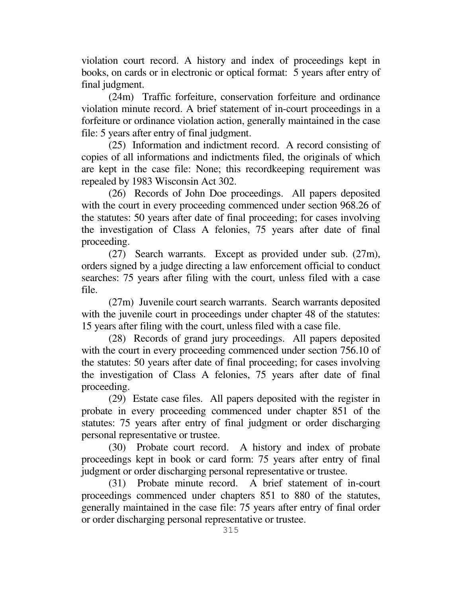violation court record. A history and index of proceedings kept in books, on cards or in electronic or optical format: 5 years after entry of final judgment.

 (24m) Traffic forfeiture, conservation forfeiture and ordinance violation minute record. A brief statement of in-court proceedings in a forfeiture or ordinance violation action, generally maintained in the case file: 5 years after entry of final judgment.

 (25) Information and indictment record. A record consisting of copies of all informations and indictments filed, the originals of which are kept in the case file: None; this recordkeeping requirement was repealed by 1983 Wisconsin Act 302.

 (26) Records of John Doe proceedings. All papers deposited with the court in every proceeding commenced under section 968.26 of the statutes: 50 years after date of final proceeding; for cases involving the investigation of Class A felonies, 75 years after date of final proceeding.

 (27) Search warrants. Except as provided under sub. (27m), orders signed by a judge directing a law enforcement official to conduct searches: 75 years after filing with the court, unless filed with a case file.

 (27m) Juvenile court search warrants. Search warrants deposited with the juvenile court in proceedings under chapter 48 of the statutes: 15 years after filing with the court, unless filed with a case file.

 (28) Records of grand jury proceedings. All papers deposited with the court in every proceeding commenced under section 756.10 of the statutes: 50 years after date of final proceeding; for cases involving the investigation of Class A felonies, 75 years after date of final proceeding.

 (29) Estate case files. All papers deposited with the register in probate in every proceeding commenced under chapter 851 of the statutes: 75 years after entry of final judgment or order discharging personal representative or trustee.

 (30) Probate court record. A history and index of probate proceedings kept in book or card form: 75 years after entry of final judgment or order discharging personal representative or trustee.

 (31) Probate minute record. A brief statement of in-court proceedings commenced under chapters 851 to 880 of the statutes, generally maintained in the case file: 75 years after entry of final order or order discharging personal representative or trustee.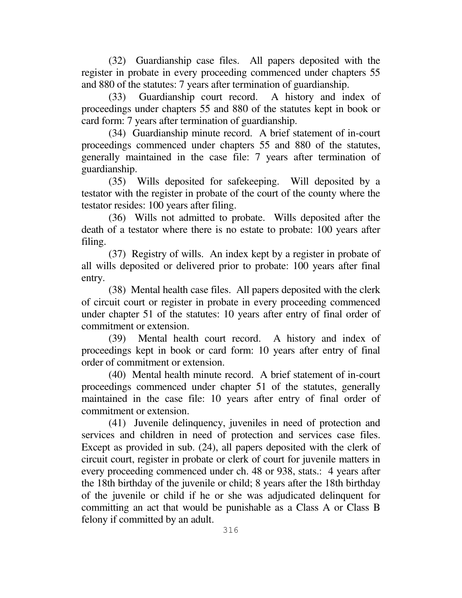(32) Guardianship case files. All papers deposited with the register in probate in every proceeding commenced under chapters 55 and 880 of the statutes: 7 years after termination of guardianship.

 (33) Guardianship court record. A history and index of proceedings under chapters 55 and 880 of the statutes kept in book or card form: 7 years after termination of guardianship.

 (34) Guardianship minute record. A brief statement of in-court proceedings commenced under chapters 55 and 880 of the statutes, generally maintained in the case file: 7 years after termination of guardianship.

 (35) Wills deposited for safekeeping. Will deposited by a testator with the register in probate of the court of the county where the testator resides: 100 years after filing.

 (36) Wills not admitted to probate. Wills deposited after the death of a testator where there is no estate to probate: 100 years after filing.

 (37) Registry of wills. An index kept by a register in probate of all wills deposited or delivered prior to probate: 100 years after final entry.

 (38) Mental health case files. All papers deposited with the clerk of circuit court or register in probate in every proceeding commenced under chapter 51 of the statutes: 10 years after entry of final order of commitment or extension.

 (39) Mental health court record. A history and index of proceedings kept in book or card form: 10 years after entry of final order of commitment or extension.

 (40) Mental health minute record. A brief statement of in-court proceedings commenced under chapter 51 of the statutes, generally maintained in the case file: 10 years after entry of final order of commitment or extension.

 (41) Juvenile delinquency, juveniles in need of protection and services and children in need of protection and services case files. Except as provided in sub. (24), all papers deposited with the clerk of circuit court, register in probate or clerk of court for juvenile matters in every proceeding commenced under ch. 48 or 938, stats.: 4 years after the 18th birthday of the juvenile or child; 8 years after the 18th birthday of the juvenile or child if he or she was adjudicated delinquent for committing an act that would be punishable as a Class A or Class B felony if committed by an adult.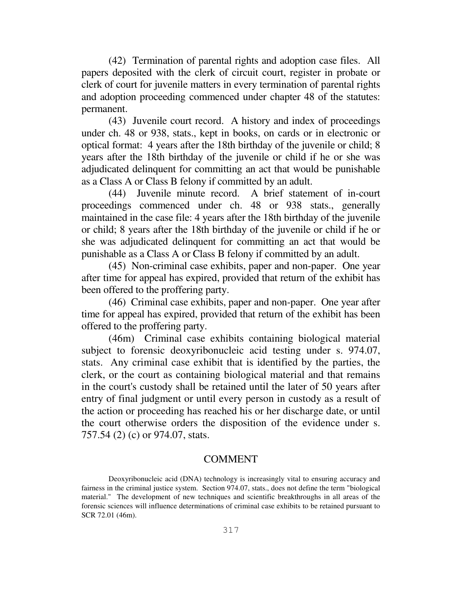(42) Termination of parental rights and adoption case files. All papers deposited with the clerk of circuit court, register in probate or clerk of court for juvenile matters in every termination of parental rights and adoption proceeding commenced under chapter 48 of the statutes: permanent.

 (43) Juvenile court record. A history and index of proceedings under ch. 48 or 938, stats., kept in books, on cards or in electronic or optical format: 4 years after the 18th birthday of the juvenile or child; 8 years after the 18th birthday of the juvenile or child if he or she was adjudicated delinquent for committing an act that would be punishable as a Class A or Class B felony if committed by an adult.

 (44) Juvenile minute record. A brief statement of in-court proceedings commenced under ch. 48 or 938 stats., generally maintained in the case file: 4 years after the 18th birthday of the juvenile or child; 8 years after the 18th birthday of the juvenile or child if he or she was adjudicated delinquent for committing an act that would be punishable as a Class A or Class B felony if committed by an adult.

 (45) Non-criminal case exhibits, paper and non-paper. One year after time for appeal has expired, provided that return of the exhibit has been offered to the proffering party.

 (46) Criminal case exhibits, paper and non-paper. One year after time for appeal has expired, provided that return of the exhibit has been offered to the proffering party.

(46m) Criminal case exhibits containing biological material subject to forensic deoxyribonucleic acid testing under s. 974.07, stats. Any criminal case exhibit that is identified by the parties, the clerk, or the court as containing biological material and that remains in the court's custody shall be retained until the later of 50 years after entry of final judgment or until every person in custody as a result of the action or proceeding has reached his or her discharge date, or until the court otherwise orders the disposition of the evidence under s. 757.54 (2) (c) or 974.07, stats.

#### COMMENT

Deoxyribonucleic acid (DNA) technology is increasingly vital to ensuring accuracy and fairness in the criminal justice system. Section 974.07, stats., does not define the term "biological material." The development of new techniques and scientific breakthroughs in all areas of the forensic sciences will influence determinations of criminal case exhibits to be retained pursuant to SCR 72.01 (46m).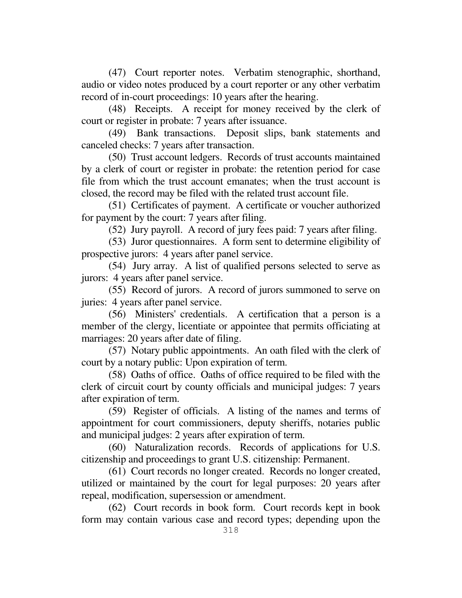(47) Court reporter notes. Verbatim stenographic, shorthand, audio or video notes produced by a court reporter or any other verbatim record of in-court proceedings: 10 years after the hearing.

 (48) Receipts. A receipt for money received by the clerk of court or register in probate: 7 years after issuance.

 (49) Bank transactions. Deposit slips, bank statements and canceled checks: 7 years after transaction.

 (50) Trust account ledgers. Records of trust accounts maintained by a clerk of court or register in probate: the retention period for case file from which the trust account emanates; when the trust account is closed, the record may be filed with the related trust account file.

 (51) Certificates of payment. A certificate or voucher authorized for payment by the court: 7 years after filing.

(52) Jury payroll. A record of jury fees paid: 7 years after filing.

 (53) Juror questionnaires. A form sent to determine eligibility of prospective jurors: 4 years after panel service.

 (54) Jury array. A list of qualified persons selected to serve as jurors: 4 years after panel service.

 (55) Record of jurors. A record of jurors summoned to serve on juries: 4 years after panel service.

 (56) Ministers' credentials. A certification that a person is a member of the clergy, licentiate or appointee that permits officiating at marriages: 20 years after date of filing.

 (57) Notary public appointments. An oath filed with the clerk of court by a notary public: Upon expiration of term.

 (58) Oaths of office. Oaths of office required to be filed with the clerk of circuit court by county officials and municipal judges: 7 years after expiration of term.

 (59) Register of officials. A listing of the names and terms of appointment for court commissioners, deputy sheriffs, notaries public and municipal judges: 2 years after expiration of term.

 (60) Naturalization records. Records of applications for U.S. citizenship and proceedings to grant U.S. citizenship: Permanent.

 (61) Court records no longer created. Records no longer created, utilized or maintained by the court for legal purposes: 20 years after repeal, modification, supersession or amendment.

 (62) Court records in book form. Court records kept in book form may contain various case and record types; depending upon the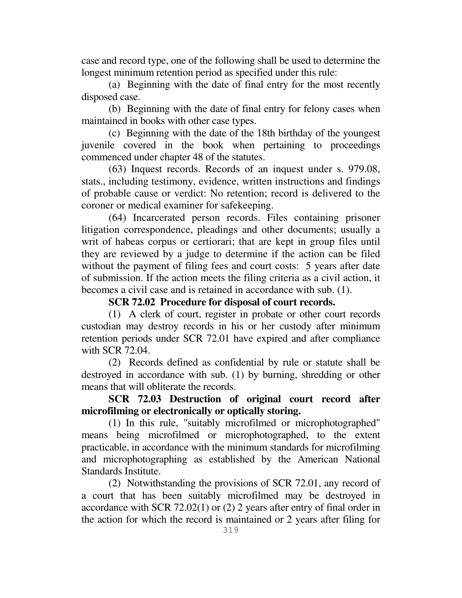case and record type, one of the following shall be used to determine the longest minimum retention period as specified under this rule:

 (a) Beginning with the date of final entry for the most recently disposed case.

 (b) Beginning with the date of final entry for felony cases when maintained in books with other case types.

 (c) Beginning with the date of the 18th birthday of the youngest juvenile covered in the book when pertaining to proceedings commenced under chapter 48 of the statutes.

 (63) Inquest records. Records of an inquest under s. 979.08, stats., including testimony, evidence, written instructions and findings of probable cause or verdict: No retention; record is delivered to the coroner or medical examiner for safekeeping.

 (64) Incarcerated person records. Files containing prisoner litigation correspondence, pleadings and other documents; usually a writ of habeas corpus or certiorari; that are kept in group files until they are reviewed by a judge to determine if the action can be filed without the payment of filing fees and court costs: 5 years after date of submission. If the action meets the filing criteria as a civil action, it becomes a civil case and is retained in accordance with sub. (1).

#### **SCR 72.02 Procedure for disposal of court records.**

 (1) A clerk of court, register in probate or other court records custodian may destroy records in his or her custody after minimum retention periods under SCR 72.01 have expired and after compliance with SCR 72.04.

 (2) Records defined as confidential by rule or statute shall be destroyed in accordance with sub. (1) by burning, shredding or other means that will obliterate the records.

## **SCR 72.03 Destruction of original court record after microfilming or electronically or optically storing.**

 (1) In this rule, "suitably microfilmed or microphotographed" means being microfilmed or microphotographed, to the extent practicable, in accordance with the minimum standards for microfilming and microphotographing as established by the American National Standards Institute.

 (2) Notwithstanding the provisions of SCR 72.01, any record of a court that has been suitably microfilmed may be destroyed in accordance with SCR 72.02(1) or (2) 2 years after entry of final order in the action for which the record is maintained or 2 years after filing for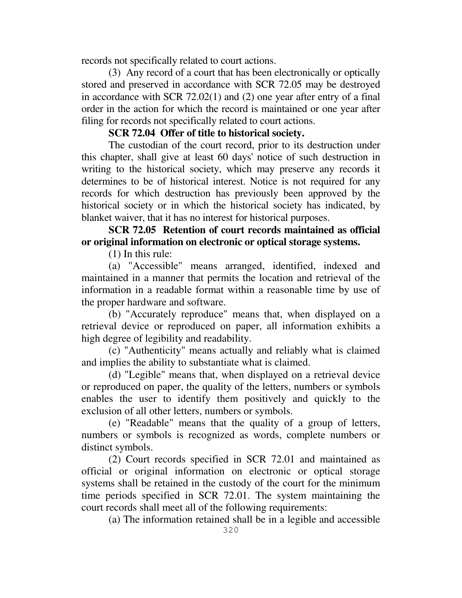records not specifically related to court actions.

 (3) Any record of a court that has been electronically or optically stored and preserved in accordance with SCR 72.05 may be destroyed in accordance with SCR 72.02(1) and (2) one year after entry of a final order in the action for which the record is maintained or one year after filing for records not specifically related to court actions.

## **SCR 72.04 Offer of title to historical society.**

 The custodian of the court record, prior to its destruction under this chapter, shall give at least 60 days' notice of such destruction in writing to the historical society, which may preserve any records it determines to be of historical interest. Notice is not required for any records for which destruction has previously been approved by the historical society or in which the historical society has indicated, by blanket waiver, that it has no interest for historical purposes.

## **SCR 72.05 Retention of court records maintained as official or original information on electronic or optical storage systems.**

(1) In this rule:

 (a) "Accessible" means arranged, identified, indexed and maintained in a manner that permits the location and retrieval of the information in a readable format within a reasonable time by use of the proper hardware and software.

 (b) "Accurately reproduce" means that, when displayed on a retrieval device or reproduced on paper, all information exhibits a high degree of legibility and readability.

 (c) "Authenticity" means actually and reliably what is claimed and implies the ability to substantiate what is claimed.

 (d) "Legible" means that, when displayed on a retrieval device or reproduced on paper, the quality of the letters, numbers or symbols enables the user to identify them positively and quickly to the exclusion of all other letters, numbers or symbols.

 (e) "Readable" means that the quality of a group of letters, numbers or symbols is recognized as words, complete numbers or distinct symbols.

 (2) Court records specified in SCR 72.01 and maintained as official or original information on electronic or optical storage systems shall be retained in the custody of the court for the minimum time periods specified in SCR 72.01. The system maintaining the court records shall meet all of the following requirements:

(a) The information retained shall be in a legible and accessible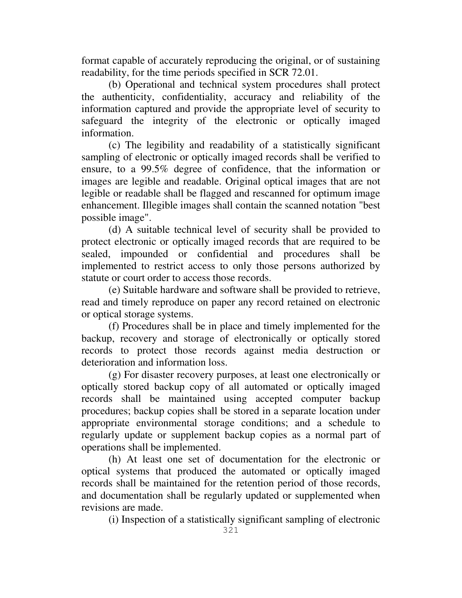format capable of accurately reproducing the original, or of sustaining readability, for the time periods specified in SCR 72.01.

 (b) Operational and technical system procedures shall protect the authenticity, confidentiality, accuracy and reliability of the information captured and provide the appropriate level of security to safeguard the integrity of the electronic or optically imaged information.

 (c) The legibility and readability of a statistically significant sampling of electronic or optically imaged records shall be verified to ensure, to a 99.5% degree of confidence, that the information or images are legible and readable. Original optical images that are not legible or readable shall be flagged and rescanned for optimum image enhancement. Illegible images shall contain the scanned notation "best possible image".

 (d) A suitable technical level of security shall be provided to protect electronic or optically imaged records that are required to be sealed, impounded or confidential and procedures shall be implemented to restrict access to only those persons authorized by statute or court order to access those records.

 (e) Suitable hardware and software shall be provided to retrieve, read and timely reproduce on paper any record retained on electronic or optical storage systems.

 (f) Procedures shall be in place and timely implemented for the backup, recovery and storage of electronically or optically stored records to protect those records against media destruction or deterioration and information loss.

 (g) For disaster recovery purposes, at least one electronically or optically stored backup copy of all automated or optically imaged records shall be maintained using accepted computer backup procedures; backup copies shall be stored in a separate location under appropriate environmental storage conditions; and a schedule to regularly update or supplement backup copies as a normal part of operations shall be implemented.

 (h) At least one set of documentation for the electronic or optical systems that produced the automated or optically imaged records shall be maintained for the retention period of those records, and documentation shall be regularly updated or supplemented when revisions are made.

(i) Inspection of a statistically significant sampling of electronic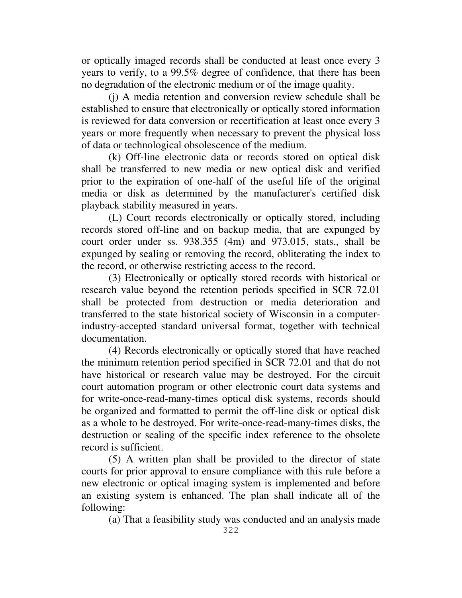or optically imaged records shall be conducted at least once every 3 years to verify, to a 99.5% degree of confidence, that there has been no degradation of the electronic medium or of the image quality.

 (j) A media retention and conversion review schedule shall be established to ensure that electronically or optically stored information is reviewed for data conversion or recertification at least once every 3 years or more frequently when necessary to prevent the physical loss of data or technological obsolescence of the medium.

 (k) Off-line electronic data or records stored on optical disk shall be transferred to new media or new optical disk and verified prior to the expiration of one-half of the useful life of the original media or disk as determined by the manufacturer's certified disk playback stability measured in years.

 (L) Court records electronically or optically stored, including records stored off-line and on backup media, that are expunged by court order under ss. 938.355 (4m) and 973.015, stats., shall be expunged by sealing or removing the record, obliterating the index to the record, or otherwise restricting access to the record.

 (3) Electronically or optically stored records with historical or research value beyond the retention periods specified in SCR 72.01 shall be protected from destruction or media deterioration and transferred to the state historical society of Wisconsin in a computerindustry-accepted standard universal format, together with technical documentation.

 (4) Records electronically or optically stored that have reached the minimum retention period specified in SCR 72.01 and that do not have historical or research value may be destroyed. For the circuit court automation program or other electronic court data systems and for write-once-read-many-times optical disk systems, records should be organized and formatted to permit the off-line disk or optical disk as a whole to be destroyed. For write-once-read-many-times disks, the destruction or sealing of the specific index reference to the obsolete record is sufficient.

 (5) A written plan shall be provided to the director of state courts for prior approval to ensure compliance with this rule before a new electronic or optical imaging system is implemented and before an existing system is enhanced. The plan shall indicate all of the following:

(a) That a feasibility study was conducted and an analysis made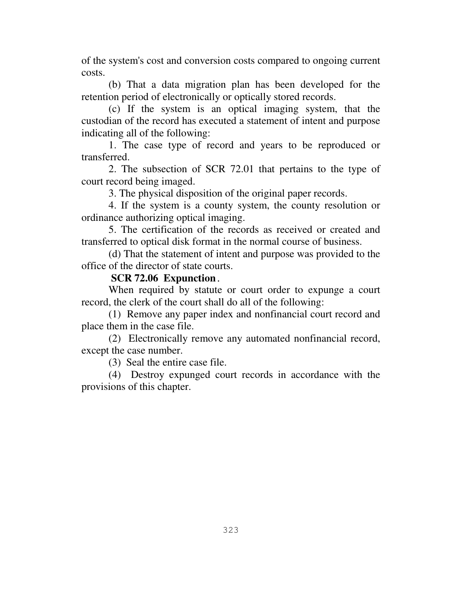of the system's cost and conversion costs compared to ongoing current costs.

 (b) That a data migration plan has been developed for the retention period of electronically or optically stored records.

 (c) If the system is an optical imaging system, that the custodian of the record has executed a statement of intent and purpose indicating all of the following:

 1. The case type of record and years to be reproduced or transferred.

 2. The subsection of SCR 72.01 that pertains to the type of court record being imaged.

3. The physical disposition of the original paper records.

 4. If the system is a county system, the county resolution or ordinance authorizing optical imaging.

 5. The certification of the records as received or created and transferred to optical disk format in the normal course of business.

 (d) That the statement of intent and purpose was provided to the office of the director of state courts.

### **SCR 72.06 Expunction.**

When required by statute or court order to expunge a court record, the clerk of the court shall do all of the following:

 (1) Remove any paper index and nonfinancial court record and place them in the case file.

 (2) Electronically remove any automated nonfinancial record, except the case number.

(3) Seal the entire case file.

 (4) Destroy expunged court records in accordance with the provisions of this chapter.